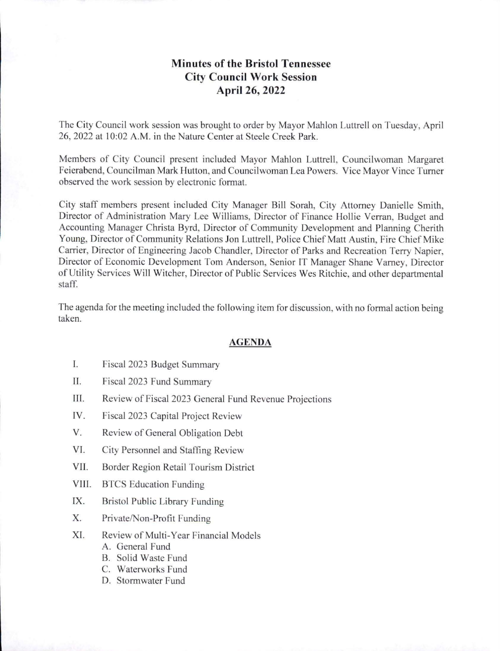## **Minutes of the Bristol Tennessee City Council Work Session April 26, 2022**

The City Council work session was brought to order by Mayor Mahlon Luttrell on Tuesday, April 26, 2022 at 10:02 A.M. in the Nature Center at Steele Creek Park.

Members of City Council present included Mayor Mahlon Luttrell, Councilwoman Margaret Feierabend, Councilman Mark Hutton, and Councilwoman Lea Powers. Vice Mayor Vince Turner observed the work session by electronic formal.

City staff members present included City Manager Bill Sorah, City Attorney Danielle Smith, Director of Administration Mary Lee Williams, Director of Finance Hollie Verran, Budget and Accounting Manager Christa Byrd, Director of Community Development and Planning Cherith Young, Director of Community Relations Jon Luttrell, Police Chief Matt Austin, Fire Chief Mike Carrier, Director of Engineering Jacob Chandler, Director of Parks and Recreation Terry Napier, Director of Economic Development Tom Anderson, Senior IT Manager Shane Varney, Director of Utility Services Will Witcher, Director of Public Services Wes Ritchie, and other departmental staff.

The agenda for the meeting included the following item for discussion, with no formal action being taken.

## **AGENDA**

- I. Fiscal 2023 Budget Summary
- II. Fiscal 2023 Fund Summary
- III. Review of Fiscal 2023 General Fund Revenue Projections
- IV. Fiscal 2023 Capital Project Review
- V. Review of General Obligation Debt
- VI. City Personnel and Staffing Review
- VII. Border Region Retail Tourism District
- VIII. BTCS Education Funding
- IX. Bristol Public Library Funding
- X. Private/Non-Profit Funding
- XI. Review of Multi-Year Financial Models
	- A. General Fund
	- B. Solid Waste Fund
	- C. Waterworks Fund
	- D. Stormwater Fund